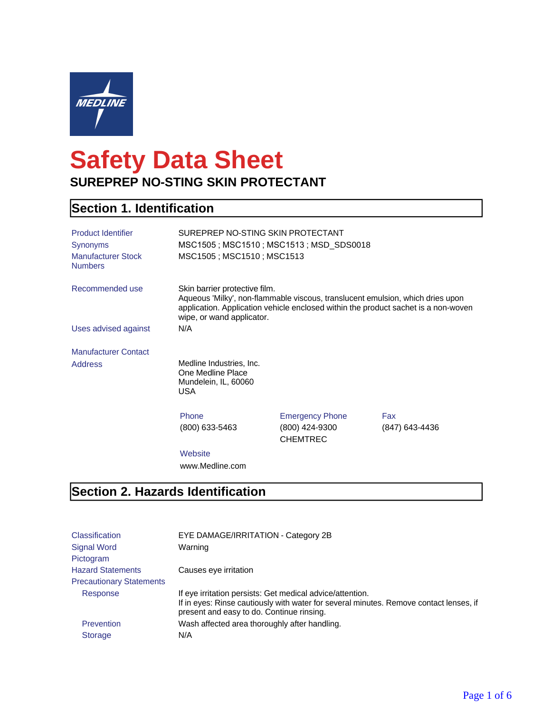

# **Safety Data Sheet SUREPREP NO-STING SKIN PROTECTANT**

## **Section 1. Identification**

| <b>Product Identifier</b><br><b>Synonyms</b><br><b>Manufacturer Stock</b><br><b>Numbers</b> | SUREPREP NO-STING SKIN PROTECTANT<br>MSC1505; MSC1510; MSC1513                      | MSC1505; MSC1510; MSC1513; MSD_SDS0018                      |                                                                                                                                                                      |
|---------------------------------------------------------------------------------------------|-------------------------------------------------------------------------------------|-------------------------------------------------------------|----------------------------------------------------------------------------------------------------------------------------------------------------------------------|
| Recommended use                                                                             | Skin barrier protective film.<br>wipe, or wand applicator.                          |                                                             | Aqueous 'Milky', non-flammable viscous, translucent emulsion, which dries upon<br>application. Application vehicle enclosed within the product sachet is a non-woven |
| Uses advised against                                                                        | N/A                                                                                 |                                                             |                                                                                                                                                                      |
| <b>Manufacturer Contact</b>                                                                 |                                                                                     |                                                             |                                                                                                                                                                      |
| <b>Address</b>                                                                              | Medline Industries, Inc.<br>One Medline Place<br>Mundelein, IL, 60060<br><b>USA</b> |                                                             |                                                                                                                                                                      |
|                                                                                             | Phone<br>(800) 633-5463                                                             | <b>Emergency Phone</b><br>(800) 424-9300<br><b>CHEMTREC</b> | Fax<br>(847) 643-4436                                                                                                                                                |
|                                                                                             | Website<br>www.Medline.com                                                          |                                                             |                                                                                                                                                                      |

## **Section 2. Hazards Identification**

| <b>Classification</b>           | EYE DAMAGE/IRRITATION - Category 2B                                                                                                                                                              |
|---------------------------------|--------------------------------------------------------------------------------------------------------------------------------------------------------------------------------------------------|
| <b>Signal Word</b>              | Warning                                                                                                                                                                                          |
| Pictogram                       |                                                                                                                                                                                                  |
| <b>Hazard Statements</b>        | Causes eye irritation                                                                                                                                                                            |
| <b>Precautionary Statements</b> |                                                                                                                                                                                                  |
| Response                        | If eye irritation persists: Get medical advice/attention.<br>If in eyes: Rinse cautiously with water for several minutes. Remove contact lenses, if<br>present and easy to do. Continue rinsing. |
| Prevention                      | Wash affected area thoroughly after handling.                                                                                                                                                    |
| <b>Storage</b>                  | N/A                                                                                                                                                                                              |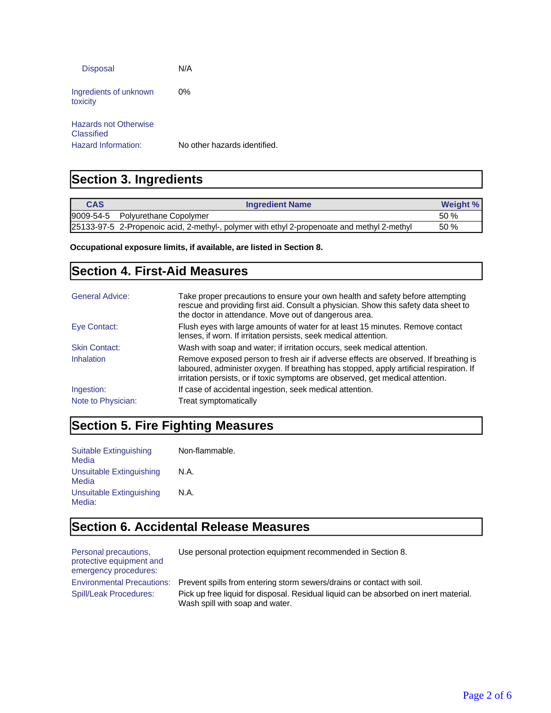| <b>Disposal</b>                     | N/A                          |
|-------------------------------------|------------------------------|
| Ingredients of unknown<br>toxicity  | $0\%$                        |
| Hazards not Otherwise<br>Classified |                              |
| Hazard Information:                 | No other hazards identified. |

### **Section 3. Ingredients**

| <b>CAS</b> | <b>Ingredient Name</b>                                                                      | Weight % |
|------------|---------------------------------------------------------------------------------------------|----------|
|            | 9009-54-5 Polyurethane Copolymer                                                            | 50 %     |
|            | 25133-97-5 2-Propenoic acid, 2-methyl-, polymer with ethyl 2-propenoate and methyl 2-methyl | 50%      |

**Occupational exposure limits, if available, are listed in Section 8.**

#### **Section 4. First-Aid Measures**

| <b>General Advice:</b> | Take proper precautions to ensure your own health and safety before attempting<br>rescue and providing first aid. Consult a physician. Show this safety data sheet to<br>the doctor in attendance. Move out of dangerous area.                                   |
|------------------------|------------------------------------------------------------------------------------------------------------------------------------------------------------------------------------------------------------------------------------------------------------------|
| Eye Contact:           | Flush eyes with large amounts of water for at least 15 minutes. Remove contact<br>lenses, if worn. If irritation persists, seek medical attention.                                                                                                               |
| <b>Skin Contact:</b>   | Wash with soap and water; if irritation occurs, seek medical attention.                                                                                                                                                                                          |
| Inhalation             | Remove exposed person to fresh air if adverse effects are observed. If breathing is<br>laboured, administer oxygen. If breathing has stopped, apply artificial respiration. If<br>irritation persists, or if toxic symptoms are observed, get medical attention. |
| Ingestion:             | If case of accidental ingestion, seek medical attention.                                                                                                                                                                                                         |
| Note to Physician:     | Treat symptomatically                                                                                                                                                                                                                                            |

#### **Section 5. Fire Fighting Measures**

Suitable Extinguishing Media Non-flammable. Unsuitable Extinguishing Media N.A. Unsuitable Extinguishing Media: N.A.

#### **Section 6. Accidental Release Measures**

Personal precautions, protective equipment and emergency procedures:

Use personal protection equipment recommended in Section 8.

Environmental Precautions: Prevent spills from entering storm sewers/drains or contact with soil. Spill/Leak Procedures: Pick up free liquid for disposal. Residual liquid can be absorbed on inert material. Wash spill with soap and water.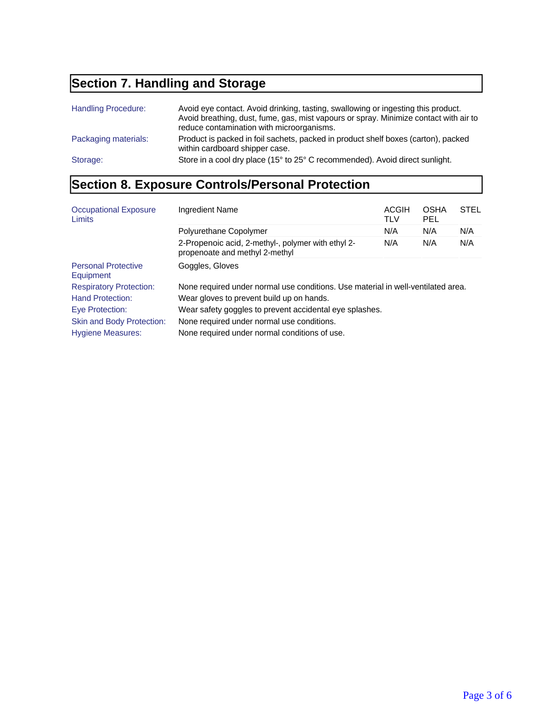## **Section 7. Handling and Storage**

| <b>Handling Procedure:</b> | Avoid eye contact. Avoid drinking, tasting, swallowing or ingesting this product.<br>Avoid breathing, dust, fume, gas, mist vapours or spray. Minimize contact with air to<br>reduce contamination with microorganisms. |
|----------------------------|-------------------------------------------------------------------------------------------------------------------------------------------------------------------------------------------------------------------------|
| Packaging materials:       | Product is packed in foil sachets, packed in product shelf boxes (carton), packed<br>within cardboard shipper case.                                                                                                     |
| Storage:                   | Store in a cool dry place (15° to 25° C recommended). Avoid direct sunlight.                                                                                                                                            |

## **Section 8. Exposure Controls/Personal Protection**

| <b>Occupational Exposure</b><br>Limits  | Ingredient Name                                                                      | ACGIH<br>TLV | <b>OSHA</b><br><b>PEL</b> | <b>STEL</b> |
|-----------------------------------------|--------------------------------------------------------------------------------------|--------------|---------------------------|-------------|
|                                         | Polyurethane Copolymer                                                               | N/A          | N/A                       | N/A         |
|                                         | 2-Propenoic acid, 2-methyl-, polymer with ethyl 2-<br>propenoate and methyl 2-methyl | N/A          | N/A                       | N/A         |
| <b>Personal Protective</b><br>Equipment | Goggles, Gloves                                                                      |              |                           |             |
| <b>Respiratory Protection:</b>          | None required under normal use conditions. Use material in well-ventilated area.     |              |                           |             |
| <b>Hand Protection:</b>                 | Wear gloves to prevent build up on hands.                                            |              |                           |             |
| Eye Protection:                         | Wear safety goggles to prevent accidental eye splashes.                              |              |                           |             |
| <b>Skin and Body Protection:</b>        | None required under normal use conditions.                                           |              |                           |             |
| <b>Hygiene Measures:</b>                | None required under normal conditions of use.                                        |              |                           |             |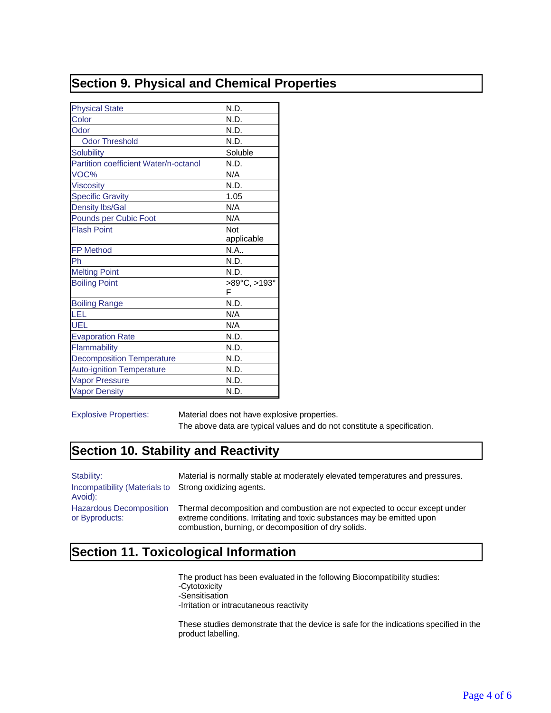## **Section 9. Physical and Chemical Properties**

| <b>Physical State</b>                 | N.D.         |
|---------------------------------------|--------------|
| Color                                 | N.D.         |
| Odor                                  | N.D.         |
| <b>Odor Threshold</b>                 | N.D.         |
| <b>Solubility</b>                     | Soluble      |
| Partition coefficient Water/n-octanol | N.D.         |
| VOC%                                  | N/A          |
| <b>Viscosity</b>                      | N.D.         |
| <b>Specific Gravity</b>               | 1.05         |
| <b>Density lbs/Gal</b>                | N/A          |
| Pounds per Cubic Foot                 | N/A          |
| <b>Flash Point</b>                    | Not          |
|                                       | applicable   |
| <b>FP Method</b>                      | N.A          |
| Ph                                    | N.D.         |
| <b>Melting Point</b>                  | N.D.         |
| <b>Boiling Point</b>                  | >89°C, >193° |
|                                       | F            |
| <b>Boiling Range</b>                  | N.D.         |
| LEL                                   | N/A          |
| UEL                                   | N/A          |
| <b>Evaporation Rate</b>               | N.D.         |
| Flammability                          | N.D.         |
| <b>Decomposition Temperature</b>      | N.D.         |
| <b>Auto-ignition Temperature</b>      | N.D.         |
| <b>Vapor Pressure</b>                 | N.D.         |
| <b>Vapor Density</b>                  | N.D.         |

Explosive Properties: Material does not have explosive properties. The above data are typical values and do not constitute a specification.

#### **Section 10. Stability and Reactivity**

| Stability:<br>Incompatibility (Materials to Strong oxidizing agents.<br>Avoid): | Material is normally stable at moderately elevated temperatures and pressures.                                                                                                                                 |
|---------------------------------------------------------------------------------|----------------------------------------------------------------------------------------------------------------------------------------------------------------------------------------------------------------|
| <b>Hazardous Decomposition</b><br>or Byproducts:                                | Thermal decomposition and combustion are not expected to occur except under<br>extreme conditions. Irritating and toxic substances may be emitted upon<br>combustion, burning, or decomposition of dry solids. |

## **Section 11. Toxicological Information**

The product has been evaluated in the following Biocompatibility studies: -Cytotoxicity -Sensitisation -Irritation or intracutaneous reactivity

These studies demonstrate that the device is safe for the indications specified in the product labelling.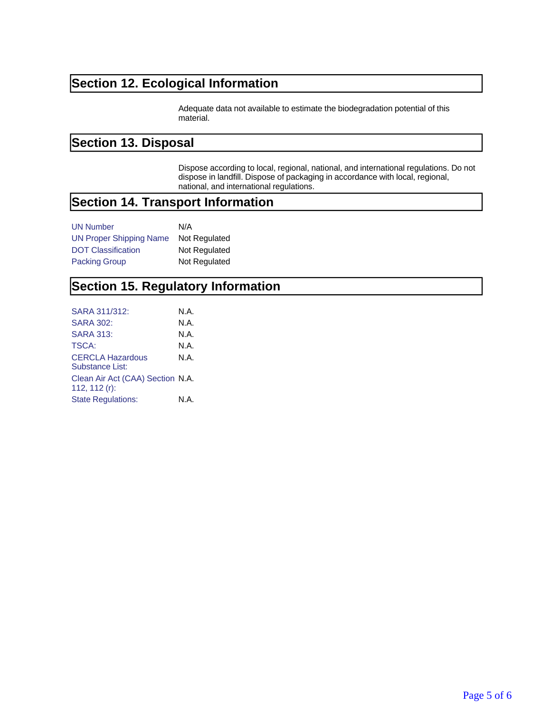## **Section 12. Ecological Information**

Adequate data not available to estimate the biodegradation potential of this material.

#### **Section 13. Disposal**

Dispose according to local, regional, national, and international regulations. Do not dispose in landfill. Dispose of packaging in accordance with local, regional, national, and international regulations.

### **Section 14. Transport Information**

| <b>UN Number</b>               | N/A           |
|--------------------------------|---------------|
| <b>UN Proper Shipping Name</b> | Not Regulated |
| <b>DOT Classification</b>      | Not Regulated |
| <b>Packing Group</b>           | Not Regulated |

#### **Section 15. Regulatory Information**

| SARA 311/312:                                     | N.A. |
|---------------------------------------------------|------|
| SARA 302:                                         | N.A. |
| <b>SARA 313:</b>                                  | N.A. |
| TSCA:                                             | N.A. |
| <b>CERCLA Hazardous</b><br><b>Substance List:</b> | N.A. |
| Clean Air Act (CAA) Section N.A.<br>112, 112 (r): |      |
| <b>State Regulations:</b>                         | N.A. |